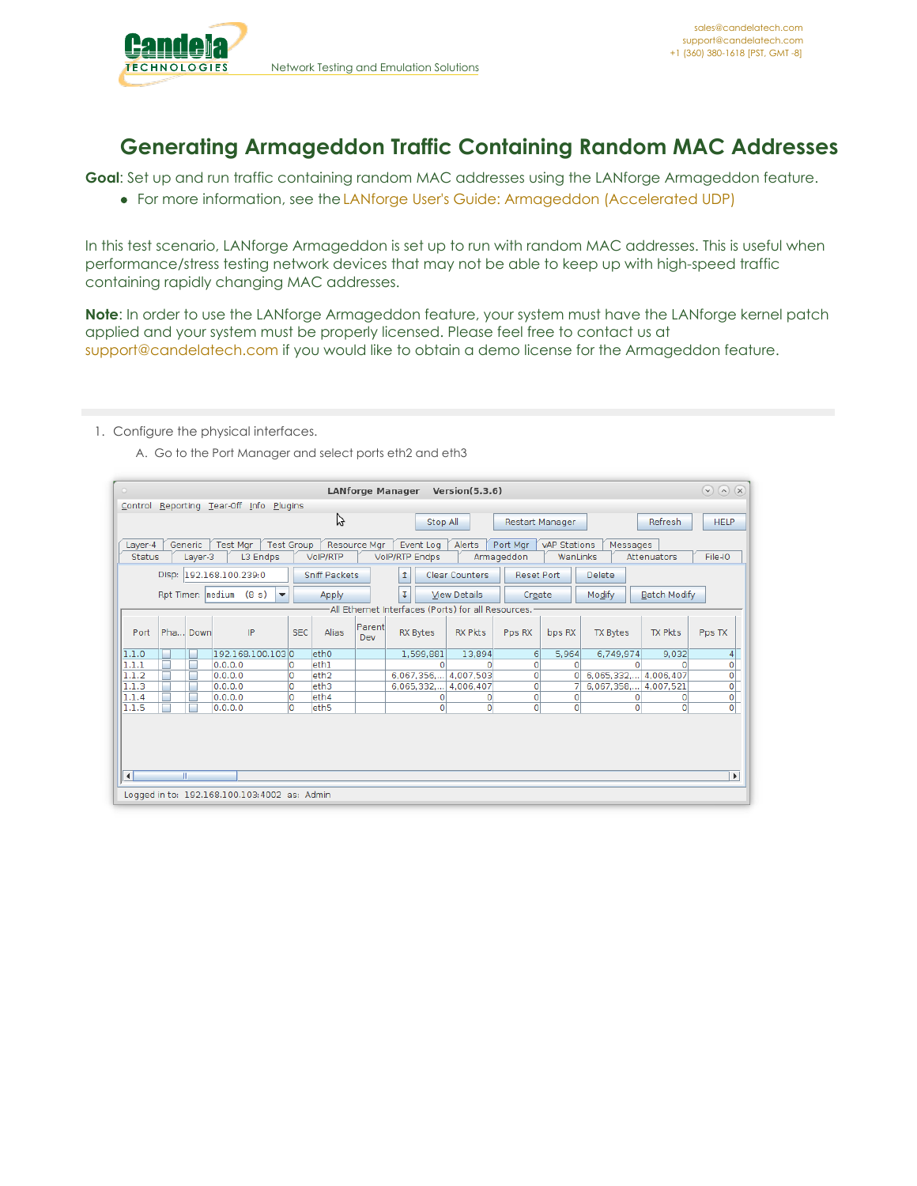

## **Generating Armageddon Traffic Containing Random MAC Addresses**

**Goal**: Set up and run traffic containing random MAC addresses using the LANforge Armageddon feature.

For more information, see the LANforge User's Guide: [Armageddon](http://www.candelatech.com/lfgui_ug.php#arm) (Accelerated UDP)

In this test scenario, LANforge Armageddon is set up to run with random MAC addresses. This is useful when performance/stress testing network devices that may not be able to keep up with high-speed traffic containing rapidly changing MAC addresses.

**Note**: In order to use the LANforge Armageddon feature, your system must have the LANforge kernel patch applied and your system must be properly licensed. Please feel free to contact us at [support@candelatech.com](mailto:support@candelatech.com) if you would like to obtain a demo license for the Armageddon feature.

- 1. Configure the physical interfaces.
	- A. Go to the Port Manager and select ports eth2 and eth3

| $\circ$                  | Version(5.3.6)<br><b>LANforge Manager</b>                                                                                                                                                                                                      |   |                         |                                              |            |                      |                | $\odot$ $\odot$ $\propto$                          |                       |                   |                |                 |                     |                       |
|--------------------------|------------------------------------------------------------------------------------------------------------------------------------------------------------------------------------------------------------------------------------------------|---|-------------------------|----------------------------------------------|------------|----------------------|----------------|----------------------------------------------------|-----------------------|-------------------|----------------|-----------------|---------------------|-----------------------|
|                          | Control Reporting Tear-Off Info Plugins                                                                                                                                                                                                        |   |                         |                                              |            |                      |                |                                                    |                       |                   |                |                 |                     |                       |
|                          | プ<br><b>HELP</b><br>Refresh<br>Stop All<br>Restart Manager                                                                                                                                                                                     |   |                         |                                              |            |                      |                |                                                    |                       |                   |                |                 |                     |                       |
| Layer-4<br><b>Status</b> | Alerts<br><b>Test Group</b><br>Resource Mgr<br>Generic<br><b>Test Mar</b><br>Event Log<br>Port Mar<br><b>vAP Stations</b><br>Messages<br>L3 Endps<br>VoIP/RTP Endps<br>File-IO<br>VoIP/RTP<br>Armageddon<br>WanLinks<br>Layer-3<br>Attenuators |   |                         |                                              |            |                      |                |                                                    |                       |                   |                |                 |                     |                       |
|                          |                                                                                                                                                                                                                                                |   | Disp: 192.168.100.239:0 |                                              |            | <b>Sniff Packets</b> |                | $\mathbf{r}$                                       | <b>Clear Counters</b> | <b>Reset Port</b> |                | <b>Delete</b>   |                     |                       |
|                          | Rpt Timer:  medium                                                                                                                                                                                                                             |   |                         | (8 s)<br>$\blacktriangledown$                |            | Apply                |                | τ                                                  | <b>View Details</b>   | Create            |                | Modify          | <b>Batch Modify</b> |                       |
|                          |                                                                                                                                                                                                                                                |   |                         |                                              |            |                      |                | All Ethernet Interfaces (Ports) for all Resources. |                       |                   |                |                 |                     |                       |
| Port                     | Pha Down                                                                                                                                                                                                                                       |   |                         | IP                                           | <b>SEC</b> | <b>Alias</b>         | Parentl<br>Dev | <b>RX Bytes</b>                                    | <b>RX Pkts</b>        | Pps RX            | bps RX         | <b>TX Bytes</b> | <b>TX Pkts</b>      | Pps TX                |
| 1.1.0                    | г                                                                                                                                                                                                                                              | L |                         | 192.168.100.1030                             |            | eth0                 |                | 1,599,881                                          | 13.894                | 6                 | 5,964          | 6,749,974       | 9,032               | 4                     |
| 1.1.1                    | Е                                                                                                                                                                                                                                              |   | 0.0.0.0                 |                                              |            | eth1                 |                | o                                                  | $\Omega$              | 0                 | $\Omega$       |                 |                     | $\overline{0}$        |
| 1.1.2                    | г                                                                                                                                                                                                                                              | г | 0.0.0.0                 |                                              | 0          | eth <sub>2</sub>     |                | 6,067,356,                                         | 4,007,503             | 0                 | $\overline{0}$ | 6,065,332,      | 4,006,407           | $\overline{0}$        |
| 1.1.3                    | Г                                                                                                                                                                                                                                              | Г | 0.0.0.0                 |                                              | 0          | eth3                 |                | 6,065,332,                                         | 4,006,407             | 0                 |                | 6,067,358,      | 4,007,521           | $\overline{0}$        |
| 1.1.4                    | П                                                                                                                                                                                                                                              | г | 0.0.0.0                 |                                              | 0          | eth4                 |                | 0                                                  | $\circ$               | 0                 | $\circ$        | 0               | O                   | $\overline{0}$        |
| 1.1.5                    | г                                                                                                                                                                                                                                              | г | 0.0.0.0                 |                                              | 0          | eth <sub>5</sub>     |                | $\circ$                                            | $\circ$               | $\overline{0}$    | $\circ$        | 0               | $\Omega$            | $\overline{O}$        |
|                          | m                                                                                                                                                                                                                                              |   |                         |                                              |            |                      |                |                                                    |                       |                   |                |                 |                     |                       |
| ◥                        |                                                                                                                                                                                                                                                |   |                         |                                              |            |                      |                |                                                    |                       |                   |                |                 |                     | $\blacktriangleright$ |
|                          |                                                                                                                                                                                                                                                |   |                         | Logged in to: 192.168.100.103:4002 as: Admin |            |                      |                |                                                    |                       |                   |                |                 |                     |                       |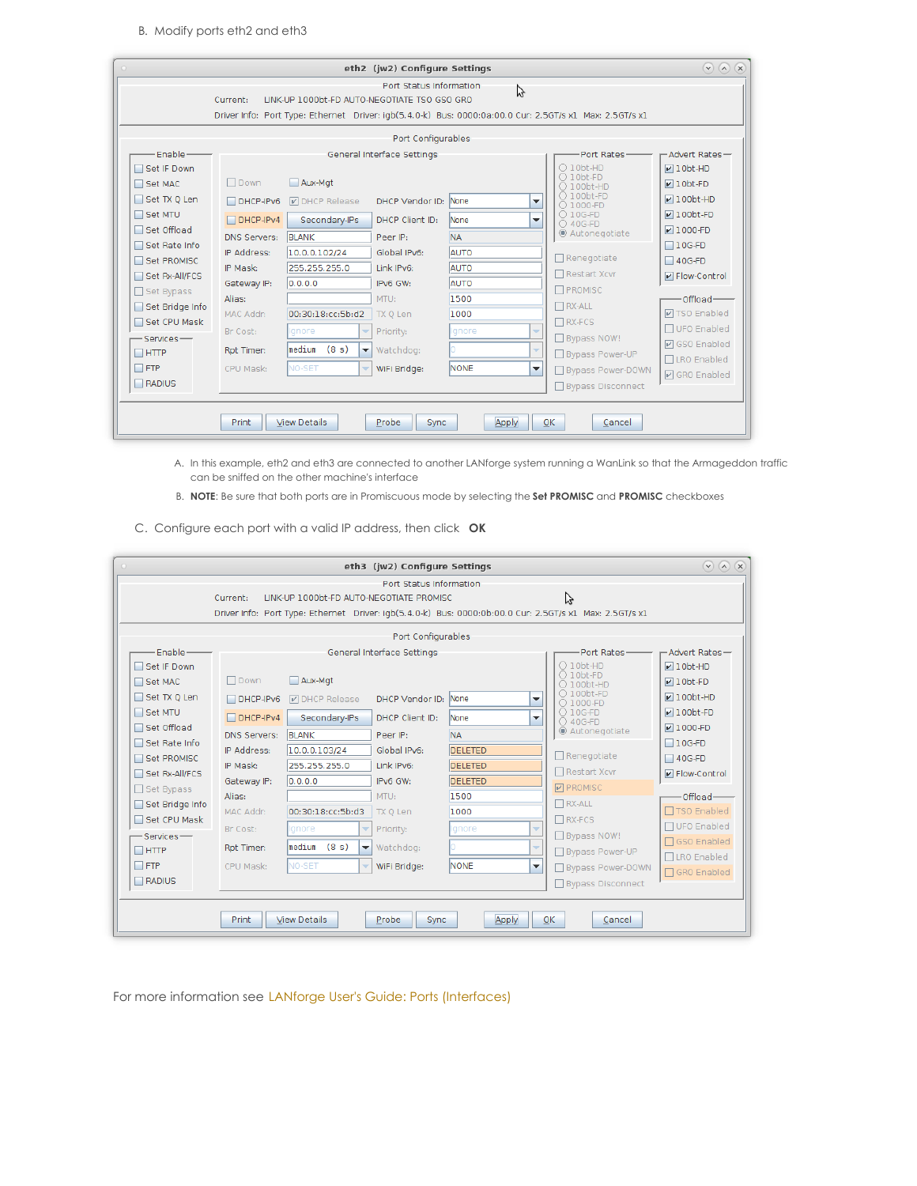B. Modify ports eth2 and eth3

| $\circ$                        |                                                                                                  |                                              | eth2 (jw2) Configure Settings |             |                                                                                                         | $(\vee)$ $(\wedge)$ $(\times)$    |  |  |  |
|--------------------------------|--------------------------------------------------------------------------------------------------|----------------------------------------------|-------------------------------|-------------|---------------------------------------------------------------------------------------------------------|-----------------------------------|--|--|--|
|                                | Current:                                                                                         | LINK-UP 1000bt-FD AUTO-NEGOTIATE TSO GSO GRO | Port Status Information       | グ           | Driver Info: Port Type: Ethernet Driver: igb(5.4.0-k) Bus: 0000:0a:00.0 Cur: 2.5GT/s x1 Max: 2.5GT/s x1 |                                   |  |  |  |
|                                | Port Configurables                                                                               |                                              |                               |             |                                                                                                         |                                   |  |  |  |
| Enable-                        |                                                                                                  |                                              | General Interface Settings    |             | Port Rates-                                                                                             | -Advert Rates-                    |  |  |  |
| Set IF Down<br>Set MAC         | $\Box$ Down                                                                                      | Aux-Mat                                      |                               |             | $O$ 10bt-HD<br>$O$ 10bt-FD<br>○ 100bt-HD                                                                | $\nu$ 10bt-HD<br>$\nu$ 10bt-FD    |  |  |  |
| Set TX Q Len                   | $DHCP-IPv6$                                                                                      | <b>D</b> DHCP Release                        | DHCP Vendor ID: None          |             | ○ 100bt-FD<br>$\blacktriangledown$<br>○ 1000-FD                                                         | $V100bt-HD$                       |  |  |  |
| Set MTU                        | $\Box$ DHCP-IPv4                                                                                 | Secondary-IPs                                | DHCP Client ID:               | None        | $O$ 10G-FD<br>$\overline{\phantom{a}}$<br>○ 40G-FD                                                      | $\nu$ 100bt-FD                    |  |  |  |
| □ Set Offload<br>Set Rate Info | <b>DNS Servers:</b>                                                                              | <b>BLANK</b>                                 | Peer IP:                      | <b>NA</b>   | ◉ Autonegotiate                                                                                         | $\n  V 1000-FD$<br>$\Box$ 10G-FD  |  |  |  |
| Set PROMISC                    | IP Address:                                                                                      | 10.0.0.102/24                                | Global IPv6:                  | <b>AUTO</b> | $\Box$ Renegotiate                                                                                      | $\Box$ 40G-FD                     |  |  |  |
| Set Rx-All/FCS                 | IP Mask:                                                                                         | 255.255.255.0                                | Link IPv6:                    | <b>AUTO</b> | $\Box$ Restart Xcvr                                                                                     | P Flow-Control                    |  |  |  |
| Set Bypass                     | Gateway IP:                                                                                      | 0.0.0.0                                      | IPv6 GW:                      | <b>AUTO</b> | <b>T</b> PROMISC                                                                                        |                                   |  |  |  |
| Set Bridge Info                | Alias:                                                                                           | 00:30:18:cc:5b:d2                            | MTU:                          | 1500        | $\Box$ RX-ALL                                                                                           | -Offload-<br><b>☑ TSO Enabled</b> |  |  |  |
| Set CPU Mask                   | MAC Addr:                                                                                        |                                              | TX Q Len                      | 1000        | $\Box$ RX-FCS                                                                                           | □ UFO Enabled                     |  |  |  |
| -Services-                     | Br Cost:                                                                                         | Ignore<br>v                                  | Priority:                     | Ignore      | $\overline{\phantom{a}}$<br>Bypass NOW!                                                                 | <b>☑</b> GSO Enabled              |  |  |  |
| $\Box$ HTTP                    | Rpt Timer:                                                                                       | lmedium<br>(8 s)<br>▼                        | Watchdog:                     |             | $\overline{\phantom{a}}$<br>□ Bypass Power-UP                                                           | □LRO Enabled                      |  |  |  |
| $\Box$ FTP                     | CPU Mask:                                                                                        | <b>NO-SET</b><br>$\overline{\phantom{a}}$    | WiFi Bridge:                  | <b>NONE</b> | $\overline{\phantom{a}}$<br>Bypass Power-DOWN                                                           | <b>Ø</b> GRO Enabled              |  |  |  |
| $\Box$ RADIUS                  |                                                                                                  |                                              |                               |             | Bypass Disconnect                                                                                       |                                   |  |  |  |
|                                | <b>View Details</b><br>Apply<br>0 <sup>K</sup><br><b>Print</b><br>Probe<br><b>Sync</b><br>Cancel |                                              |                               |             |                                                                                                         |                                   |  |  |  |

- A. In this example, eth2 and eth3 are connected to another LANforge system running a WanLink so that the Armageddon traffic can be sniffed on the other machine's interface
- B. **NOTE**: Be sure that both ports are in Promiscuous mode by selecting the **Set PROMISC** and **PROMISC** checkboxes
- C. Configure each port with a valid IP address, then click **OK**

| $\circ$                            |                                                                                                                |                                                    | eth3 (jw2) Configure Settings          |                                                    |                          |                                                                                                              | $(\vee)$ $(\wedge)$ $(\times)$                    |  |  |
|------------------------------------|----------------------------------------------------------------------------------------------------------------|----------------------------------------------------|----------------------------------------|----------------------------------------------------|--------------------------|--------------------------------------------------------------------------------------------------------------|---------------------------------------------------|--|--|
|                                    | Current:                                                                                                       | LINK-UP 1000bt-FD AUTO-NEGOTIATE PROMISC           | Port Status Information                |                                                    |                          | Ų<br>Driver Info: Port Type: Ethernet Driver: igb(5.4.0-k) Bus: 0000:0b:00.0 Cur: 2.5GT/s x1 Max: 2.5GT/s x1 |                                                   |  |  |
|                                    | Port Configurables                                                                                             |                                                    |                                        |                                                    |                          |                                                                                                              |                                                   |  |  |
| Enable-<br>Set IF Down             |                                                                                                                |                                                    | General Interface Settings             |                                                    |                          | Port Rates-<br>$\bigcirc$ 10bt-HD<br>$O$ 10bt-FD                                                             | Advert Rates-<br>$\nu$ 10bt-HD                    |  |  |
| Set MAC<br>Set TX Q Len<br>Set MTU | $\Box$ Down<br>DHCP-IPv6                                                                                       | Aux-Mgt<br><b>DHCP Release</b>                     | DHCP Vendor ID: None                   |                                                    | $\overline{\phantom{a}}$ | $\bigcap$ 100bt-HD<br>$\bigcirc$ 100bt-FD<br>○ 1000-FD<br>$\bigcirc$ 10G-FD                                  | $\nu$ 10bt-FD<br>$\nu$ 100bt-HD<br>$\nu$ 100bt-FD |  |  |
| □ Set Offload<br>□ Set Rate Info   | $\Box$ DHCP-IPv4<br><b>DNS Servers:</b>                                                                        | Secondary-IPs<br><b>BLANK</b>                      | DHCP Client ID:<br>Peer IP:            | <b>None</b><br><b>NA</b>                           | $\overline{\phantom{a}}$ | ○ 40G-FD<br>◉ Autonegotiate                                                                                  | $\nu$ 1000-FD<br>$\Box$ 10G-FD                    |  |  |
| Set PROMISC<br>Set Rx-All/FCS      | IP Address:<br>IP Mask:<br>Gateway IP:                                                                         | 10.0.0.103/24<br>255.255.255.0<br> 0.0.0.0         | Global IPv6:<br>Link IPv6:<br>IPv6 GW: | <b>DELETED</b><br><b>DELETED</b><br><b>DELETED</b> |                          | $\Box$ Renegotiate<br>□ Restart Xcvr                                                                         | $\Box$ 40G-FD<br>$\triangleright$ Flow-Control    |  |  |
| Set Bypass<br>Set Bridge Info      | Alias:<br>MAC Addr:                                                                                            | 00:30:18:cc:5b:d3                                  | MTU:<br>TX 0 Len                       | 1500<br>1000                                       |                          | <b>PROMISC</b><br>$\Box$ RX-ALL                                                                              | Offload-<br>□ TSO Enabled                         |  |  |
| Set CPU Mask<br>Services-          | Br Cost:<br>Rpt Timer:                                                                                         | Ignore<br>median (8 s)<br>$\overline{\phantom{a}}$ | Priority:<br>Watchdog:                 | Ignore                                             | $\overline{\phantom{a}}$ | $\Box$ RX-FCS<br>Bypass NOW!                                                                                 | □ UFO Enabled<br>□ GSO Enabled                    |  |  |
| $\Box$ HTTP<br>$\Box$ FTP          | CPU Mask:                                                                                                      | <b>NO-SET</b>                                      | WiFi Bridge:                           | <b>NONE</b>                                        | ▼                        | □ Bypass Power-UP<br>Bypass Power-DOWN                                                                       | □LRO Enabled<br>□ GRO Enabled                     |  |  |
|                                    | RADIUS<br>□ Bypass Disconnect<br><b>View Details</b><br>Print<br>Probe<br>Apply<br>OK<br><b>Sync</b><br>Cancel |                                                    |                                        |                                                    |                          |                                                                                                              |                                                   |  |  |

For more information see LANforge User's Guide: Ports [\(Interfaces\)](http://www.candelatech.com/lfgui_ug.php#port)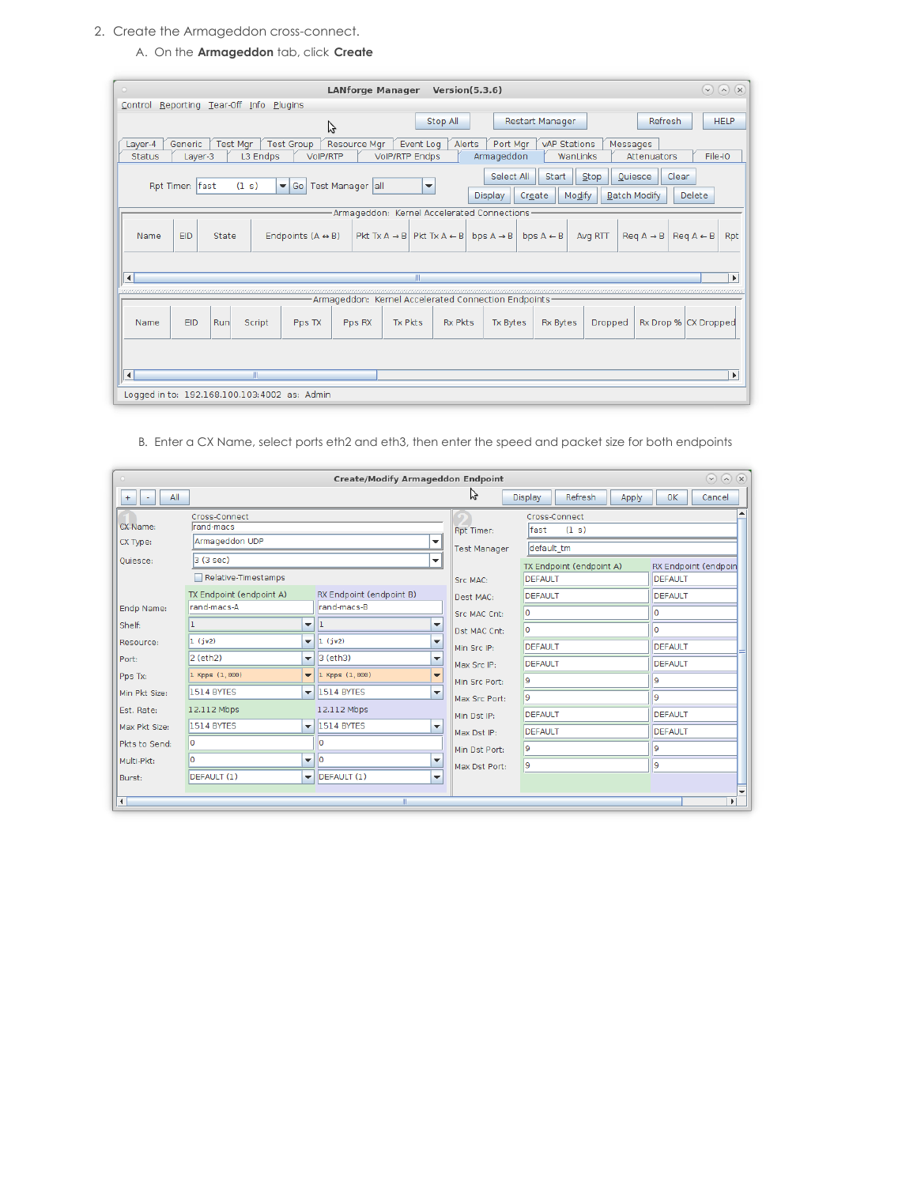- 2. Create the Armageddon cross-connect.
	- A. On the **Armageddon** tab, click **Create**

| (x)<br><b>LANforge Manager</b><br>Version(5.3.6)<br>$(\mathbf{v})$<br>$\left( \mathbf{v}\right)$<br>$\circ$                                                                                                                                                                       |  |  |  |  |  |  |  |  |
|-----------------------------------------------------------------------------------------------------------------------------------------------------------------------------------------------------------------------------------------------------------------------------------|--|--|--|--|--|--|--|--|
| Reporting Tear-Off Info<br>Plugins<br>Control                                                                                                                                                                                                                                     |  |  |  |  |  |  |  |  |
| Refresh<br><b>HELP</b><br>Stop All<br><b>Restart Manager</b><br>じ                                                                                                                                                                                                                 |  |  |  |  |  |  |  |  |
| Resource Mgr<br>Generic<br><b>Test Mar</b><br><b>Test Group</b><br>Event Log<br>Alerts<br>Port Mar<br><b>vAP Stations</b><br>Layer-4<br>Messages<br>L3 Endps<br>File-IO<br>Layer-3<br><b>VoIP/RTP</b><br><b>VolP/RTP Endps</b><br>Armageddon<br>WanLinks<br>Status<br>Attenuators |  |  |  |  |  |  |  |  |
| Select All<br>Start<br>Stop<br>Clear<br>Quiesce<br>(1 s)<br>Test Manager all<br>Rpt Timer:  fast<br>$\blacktriangledown$ Go<br>$\overline{\phantom{a}}$<br>Modify<br>Create<br><b>Batch Modify</b><br>Delete<br><b>Display</b>                                                    |  |  |  |  |  |  |  |  |
| Armageddon: Kernel Accelerated Connections                                                                                                                                                                                                                                        |  |  |  |  |  |  |  |  |
| Endpoints $(A \leftrightarrow B)$<br>Pkt Tx A $\rightarrow$ B   Pkt Tx A $\leftarrow$ B   bps A $\rightarrow$ B  <br><b>EID</b><br>State<br>bps $A \leftarrow B$<br>Avg RTT<br>$\text{Re} q \land \rightarrow \text{B}$<br>$\text{Re} q A \leftarrow B$<br>Rpt<br>Name            |  |  |  |  |  |  |  |  |
| $\blacktriangleleft$<br>Ш<br>$\blacktriangleright$                                                                                                                                                                                                                                |  |  |  |  |  |  |  |  |
| in in the the the theory of the theory of the theory of the theory of the theory of the theory of the theory of                                                                                                                                                                   |  |  |  |  |  |  |  |  |
| -Armageddon: Kernel Accelerated Connection Endpoints-                                                                                                                                                                                                                             |  |  |  |  |  |  |  |  |
| EID<br>Tx Pkts<br><b>Rx Pkts</b><br>Rx Drop % CX Dropped<br>Run<br>Script<br><b>Tx Bytes</b><br><b>Rx Bytes</b><br>Name<br>Pps TX<br>Pps RX<br>Dropped                                                                                                                            |  |  |  |  |  |  |  |  |
| $\blacktriangleleft$<br>Ш<br>$\blacktriangleright$                                                                                                                                                                                                                                |  |  |  |  |  |  |  |  |
| Logged in to: 192.168.100.103:4002 as: Admin                                                                                                                                                                                                                                      |  |  |  |  |  |  |  |  |

B. Enter a CX Name, select ports eth2 and eth3, then enter the speed and packet size for both endpoints

| $\odot$ $\odot$ $\odot$<br><b>Create/Modify Armageddon Endpoint</b><br>$\circ$ |                            |                          |                                                                 |                     |                                    |                      |  |  |  |
|--------------------------------------------------------------------------------|----------------------------|--------------------------|-----------------------------------------------------------------|---------------------|------------------------------------|----------------------|--|--|--|
| All<br>$+$<br>÷.                                                               |                            |                          |                                                                 | ら                   | Refresh<br><b>Display</b><br>Apply | OK<br>Cancel         |  |  |  |
|                                                                                | Cross-Connect              |                          |                                                                 |                     | Cross-Connect                      |                      |  |  |  |
| CX Name:                                                                       | rand-macs                  |                          |                                                                 | Rpt Timer:          | fast<br>(1 s)                      |                      |  |  |  |
| CX Type:                                                                       | Armageddon UDP             |                          | $\overline{\phantom{a}}$                                        | <b>Test Manager</b> | default tm                         |                      |  |  |  |
| Quiesce:                                                                       | 3(3 sec)                   |                          | $\overline{\phantom{a}}$                                        |                     | TX Endpoint (endpoint A)           | RX Endpoint (endpoin |  |  |  |
|                                                                                | Relative-Timestamps        |                          |                                                                 | Src MAC:            | <b>DEFAULT</b>                     | <b>DEFAULT</b>       |  |  |  |
|                                                                                | TX Endpoint (endpoint A)   |                          | RX Endpoint (endpoint B)                                        | Dest MAC:           | DEFAULT                            | DEFAULT              |  |  |  |
| Endp Name:                                                                     | rand-macs-A                |                          | rand-macs-B                                                     | <b>Src MAC Cnt:</b> | ١o                                 | I٥                   |  |  |  |
| Shelf:                                                                         |                            | $\overline{\phantom{a}}$ | $\overline{\phantom{a}}$                                        | Dst MAC Cnt:        | lo                                 | l0.                  |  |  |  |
| Resource:                                                                      | $1$ (jw2)                  |                          | $\mathbf{=}\vert 1$ (jw2)<br>▼                                  | Min Src IP:         | <b>DEFAULT</b>                     | <b>DEFAULT</b>       |  |  |  |
| Port:                                                                          | 2 (eth2)                   |                          | $\blacktriangledown$ 3 (eth3)<br>▼                              | Max Src IP:         | DEFAULT                            | DEFAULT              |  |  |  |
| Pps Tx:                                                                        | $1$ Kpps $(1, 000)$        |                          | $\blacktriangledown$ 1 Kpps (1,000)<br>$\overline{\phantom{0}}$ | Min Src Port:       | 9                                  | l9                   |  |  |  |
| Min Pkt Size:                                                                  | 1514 BYTES                 |                          | $\overline{\mathbf{v}}$ 1514 BYTES<br>$\blacktriangledown$      | Max Src Port:       | l9                                 | l9.                  |  |  |  |
| Est. Rate:                                                                     | 12.112 Mbps                |                          | 12.112 Mbps                                                     | Min Dst IP:         | <b>DEFAULT</b>                     | <b>DEFAULT</b>       |  |  |  |
| Max Pkt Size:                                                                  | 1514 BYTES                 |                          | $\overline{\mathbf{v}}$ 1514 BYTES<br>$\overline{\phantom{a}}$  | Max Dst IP:         | DEFAULT                            | <b>DEFAULT</b>       |  |  |  |
| Pkts to Send:                                                                  | ١o                         |                          | ۱o                                                              | Min Dst Port:       | l9                                 | l9.                  |  |  |  |
| Multi-Pkt:                                                                     | n                          | $\overline{\mathbf{v}}$  | l٥<br>$\overline{\phantom{a}}$                                  | Max Dst Port:       | l9                                 | l9.                  |  |  |  |
| Burst:                                                                         | DEFAULT (1)                |                          | $\blacktriangledown$ DEFAULT (1)<br>$\overline{\mathbf{v}}$     |                     |                                    |                      |  |  |  |
| $\blacksquare$                                                                 | $\blacktriangleright$<br>Ш |                          |                                                                 |                     |                                    |                      |  |  |  |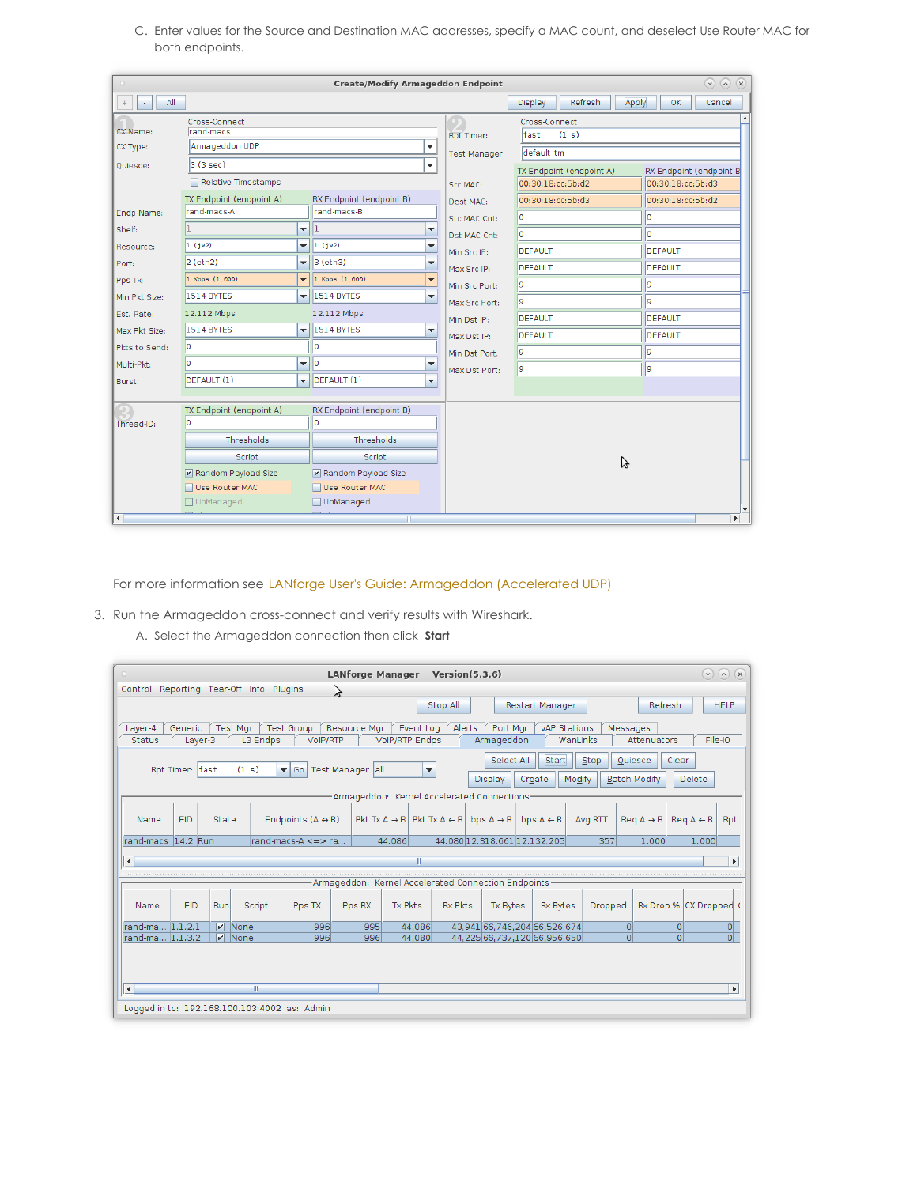C. Enter values for the Source and Destination MAC addresses, specify a MAC count, and deselect Use Router MAC for both endpoints.

|                      | $(\sqrt{2})$ $(\sqrt{2})$<br><b>Create/Modify Armageddon Endpoint</b> |                          |                                    |                          |                     |                                                     |                   |  |  |  |
|----------------------|-----------------------------------------------------------------------|--------------------------|------------------------------------|--------------------------|---------------------|-----------------------------------------------------|-------------------|--|--|--|
| All<br>$+$           |                                                                       |                          |                                    |                          |                     | Refresh<br>Apply<br><b>Display</b>                  | OK<br>Cancel      |  |  |  |
|                      | Cross-Connect                                                         |                          |                                    |                          |                     | Cross-Connect                                       |                   |  |  |  |
| CX Name:             | rand-macs                                                             |                          |                                    |                          | Rpt Timer:          | fast<br>(1 s)                                       |                   |  |  |  |
| CX Type:             | Armageddon UDP                                                        |                          |                                    | $\blacktriangledown$     | <b>Test Manager</b> | default tm                                          |                   |  |  |  |
| Ouiesce:             | 3 (3 sec)                                                             |                          |                                    | $\overline{\phantom{a}}$ |                     | TX Endpoint (endpoint A)<br>RX Endpoint (endpoint B |                   |  |  |  |
|                      | Relative-Timestamps                                                   |                          |                                    |                          | Src MAC:            | 00:30:18:cc:5b:d2                                   | 00:30:18:cc:5b:d3 |  |  |  |
|                      | TX Endpoint (endpoint A)                                              |                          | RX Endpoint (endpoint B)           |                          | Dest MAC:           | 00:30:18:cc:5b:d3                                   | 00:30:18:cc:5b:d2 |  |  |  |
| Endp Name:           | rand-macs-A                                                           |                          | rand-macs-B                        |                          | Src MAC Cnt:        | ۱o                                                  | lo.               |  |  |  |
| Shelf:               | n.                                                                    | $\blacktriangledown$     | 11                                 | ▼                        | Dst MAC Cnt:        | o                                                   | lo                |  |  |  |
| Resource:            | $1$ (jw2)                                                             | $\blacktriangledown$     | $\vert$ 1 (jw2)                    | $\overline{\phantom{a}}$ | Min Src IP:         | DEFAULT                                             | DEFAULT           |  |  |  |
| Port:                | 2 (eth2)                                                              | $\overline{\phantom{a}}$ | $3$ (eth $3$ )                     | ▼                        | Max Src IP:         | <b>DEFAULT</b>                                      | DEFAULT           |  |  |  |
| Pps Tx:              | $1$ Kpps $(1, 000)$                                                   | $\overline{\phantom{a}}$ | $1$ Kpps $(1, 000)$                | $\overline{\phantom{0}}$ | Min Src Port:       | l9                                                  | 9                 |  |  |  |
| Min Pkt Size:        | 1514 BYTES                                                            |                          | $\overline{\mathbf{v}}$ 1514 BYTES | $\blacktriangledown$     | Max Src Port:       | l9                                                  | l9                |  |  |  |
| Est. Rate:           | 12.112 Mbps                                                           |                          | 12.112 Mbps                        |                          | Min Dst IP:         | DEFAULT                                             | DEFAULT           |  |  |  |
| Max Pkt Size:        | 1514 BYTES                                                            |                          | $\overline{\mathbf{v}}$ 1514 BYTES | ▼                        | Max Dst IP:         | DEFAULT                                             | DEFAULT           |  |  |  |
| Pkts to Send:        | 10                                                                    |                          | O                                  |                          | Min Dst Port:       | l9.                                                 | l9.               |  |  |  |
| Multi-Pkt:           | lo.                                                                   | $\blacktriangledown$     | l lo                               | ▼                        | Max Dst Port:       | l9                                                  | l9                |  |  |  |
| Burst:               | DEFAULT (1)                                                           | $\overline{\phantom{a}}$ | DEFAULT (1)                        | $\overline{\phantom{a}}$ |                     |                                                     |                   |  |  |  |
|                      |                                                                       |                          |                                    |                          |                     |                                                     |                   |  |  |  |
|                      | TX Endpoint (endpoint A)                                              |                          | RX Endpoint (endpoint B)           |                          |                     |                                                     |                   |  |  |  |
| Thread-ID:           |                                                                       |                          | O                                  |                          |                     |                                                     |                   |  |  |  |
|                      | Thresholds                                                            |                          | <b>Thresholds</b>                  |                          |                     |                                                     |                   |  |  |  |
|                      | Script                                                                |                          | Script                             |                          |                     | グ                                                   |                   |  |  |  |
|                      | Random Payload Size                                                   |                          | Random Payload Size                |                          |                     |                                                     |                   |  |  |  |
|                      | Use Router MAC                                                        |                          | Use Router MAC                     |                          |                     |                                                     |                   |  |  |  |
|                      | □ UnManaged                                                           |                          | UnManaged                          |                          |                     |                                                     |                   |  |  |  |
| $\blacktriangleleft$ |                                                                       |                          | Ш                                  |                          |                     |                                                     | $\mathbf{F}$      |  |  |  |

For more information see LANforge User's Guide: [Armageddon](http://www.candelatech.com/lfgui_ug.php#arm) (Accelerated UDP)

- 3. Run the Armageddon cross-connect and verify results with Wireshark.
	- A. Select the Armageddon connection then click **Start**

| <b>LANforge Manager</b><br>Version(5.3.6)<br>$(\vee)$<br>$\left( \mathbf{v}\right)$<br>(x)<br>$\circ$ |                                                                                                                                                                                                                                                       |       |                           |                                   |        |                |                                                                            |                                                       |                      |          |                        |                                                   |
|-------------------------------------------------------------------------------------------------------|-------------------------------------------------------------------------------------------------------------------------------------------------------------------------------------------------------------------------------------------------------|-------|---------------------------|-----------------------------------|--------|----------------|----------------------------------------------------------------------------|-------------------------------------------------------|----------------------|----------|------------------------|---------------------------------------------------|
| Control Reporting Tear-Off Info Plugins<br>ピ                                                          |                                                                                                                                                                                                                                                       |       |                           |                                   |        |                |                                                                            |                                                       |                      |          |                        |                                                   |
|                                                                                                       | Refresh<br>Stop All<br><b>Restart Manager</b><br><b>HELP</b>                                                                                                                                                                                          |       |                           |                                   |        |                |                                                                            |                                                       |                      |          |                        |                                                   |
| Layer-4<br>Status                                                                                     | <b>Test Group</b><br>Event Log<br>Alerts<br>Generic<br><b>Test Mgr</b><br>Resource Mar<br>Port Mgr<br>vAP Stations<br>Messages<br>L3 Endps<br><b>VolP/RTP Endps</b><br>WanLinks<br>File-IO<br>Layer-3<br><b>VoIP/RTP</b><br>Armageddon<br>Attenuators |       |                           |                                   |        |                |                                                                            |                                                       |                      |          |                        |                                                   |
|                                                                                                       | Select All<br>Start<br>Stop<br>Clear<br>Quiesce<br>Rpt Timer: fast<br>Test Manager all<br>(1 s)<br>$\blacktriangledown$ Go<br>▼<br>Modify<br><b>Batch Modify</b><br><b>Delete</b><br>Display<br>Create                                                |       |                           |                                   |        |                |                                                                            |                                                       |                      |          |                        |                                                   |
|                                                                                                       |                                                                                                                                                                                                                                                       |       |                           |                                   |        |                |                                                                            | Armageddon: Kernel Accelerated Connections            |                      |          |                        |                                                   |
| Name                                                                                                  | EID                                                                                                                                                                                                                                                   | State |                           | Endpoints $(A \leftrightarrow B)$ |        |                | Pkt Tx A $\rightarrow$ B   Pkt Tx A $\leftarrow$ B   bps A $\rightarrow$ B |                                                       | bps $A \leftarrow B$ | Avg RTT  | $Real A \rightarrow B$ | $\text{Re}a \land \text{ } \in \text{ } B$<br>Rpt |
| rand-macs 14.2 Run                                                                                    |                                                                                                                                                                                                                                                       |       |                           | $r$ and-macs-A $\leq$ $\geq$ ra   |        | 44.086         |                                                                            | 44.080 12.318.661 12.132.205                          |                      | 357      | 1.000                  | 1.000                                             |
| $\blacktriangleleft$                                                                                  |                                                                                                                                                                                                                                                       |       |                           |                                   |        | Ш              |                                                                            |                                                       |                      |          |                        | $\blacktriangleright$                             |
|                                                                                                       |                                                                                                                                                                                                                                                       |       |                           |                                   |        |                |                                                                            |                                                       |                      |          |                        |                                                   |
|                                                                                                       |                                                                                                                                                                                                                                                       |       |                           |                                   |        |                |                                                                            | Armageddon: Kernel Accelerated Connection Endpoints · |                      |          |                        |                                                   |
| Name                                                                                                  | <b>EID</b>                                                                                                                                                                                                                                            | Run   | Script                    | Pps TX                            | Pps RX | <b>Tx Pkts</b> | <b>Rx Pkts</b>                                                             | <b>Tx Bytes</b>                                       | <b>Rx Bytes</b>      | Dropped  | Rx Drop % CX Dropped   |                                                   |
| rand-ma 1.1.2.1                                                                                       |                                                                                                                                                                                                                                                       |       | $\boxed{\mathsf{v}}$ None | 996                               | 995    | 44.086         |                                                                            | 43.941 66.746.204 66.526.674                          |                      | $\Omega$ | $\Omega$               | $\overline{0}$                                    |
| rand-ma 1.1.3.2                                                                                       |                                                                                                                                                                                                                                                       |       | $V$ None                  | 996                               | 996    | 44.080         |                                                                            | 44,225 66,737,120 66,956,650                          |                      | $\Omega$ | $\Omega$               | $\overline{0}$                                    |
| $\blacktriangleleft$<br>$\blacktriangleright$                                                         |                                                                                                                                                                                                                                                       |       |                           |                                   |        |                |                                                                            |                                                       |                      |          |                        |                                                   |
|                                                                                                       | Logged in to: 192.168.100.103:4002 as: Admin                                                                                                                                                                                                          |       |                           |                                   |        |                |                                                                            |                                                       |                      |          |                        |                                                   |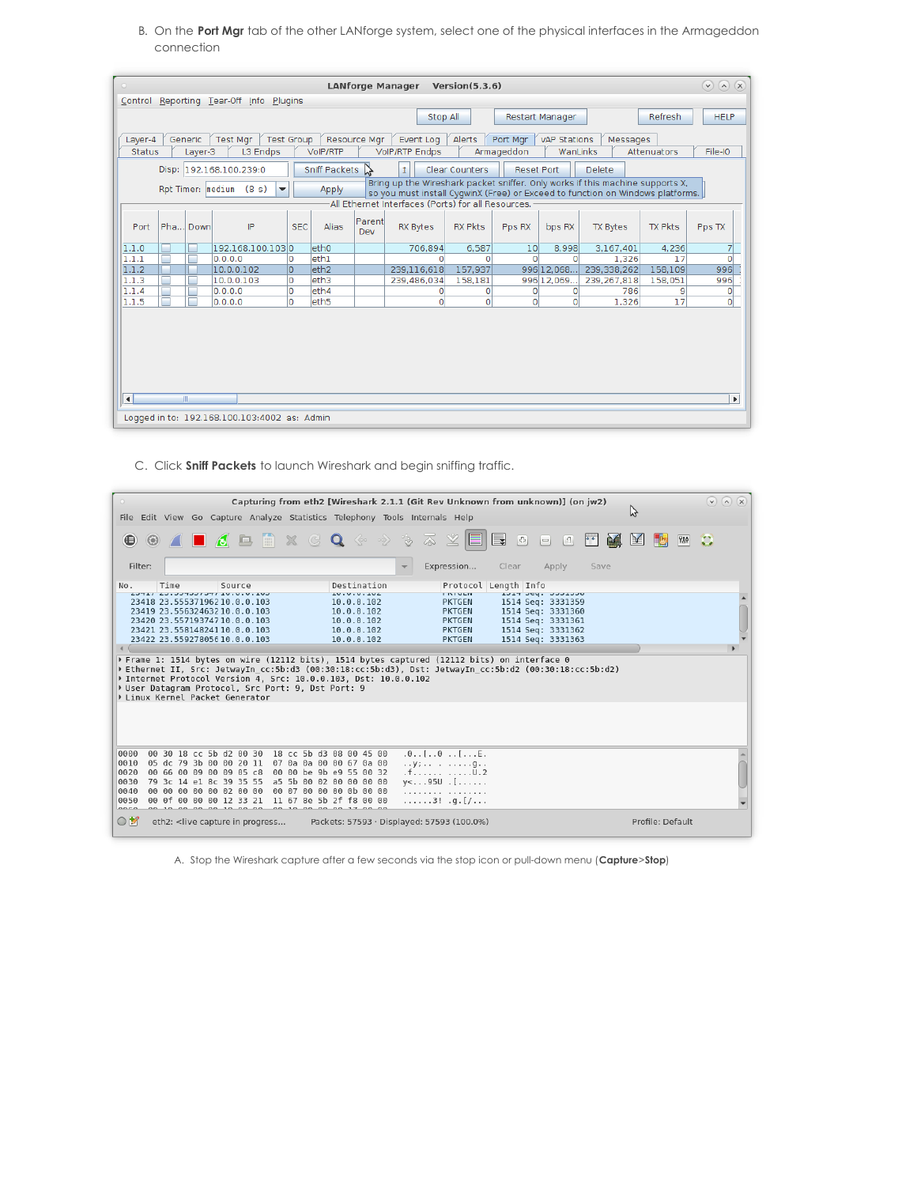B. On the **Port Mgr** tab of the other LANforge system, select one of the physical interfaces in the Armageddon connection

| $(\vee)$<br>$(\wedge)(x)$<br><b>LANforge Manager</b><br>Version(5.3.6)<br>$\circ$                                                                                                                                                  |                       |  |  |  |  |  |  |
|------------------------------------------------------------------------------------------------------------------------------------------------------------------------------------------------------------------------------------|-----------------------|--|--|--|--|--|--|
| Control Reporting Tear-Off Info Plugins                                                                                                                                                                                            |                       |  |  |  |  |  |  |
| Refresh<br>Stop All<br><b>Restart Manager</b>                                                                                                                                                                                      | <b>HELP</b>           |  |  |  |  |  |  |
| <b>Test Group</b><br><b>Test Mgr</b><br>Resource Mgr<br>Event Log<br>Alerts<br>vAP Stations<br>Generic<br>Port Mgr<br>Layer-4<br>Messages                                                                                          |                       |  |  |  |  |  |  |
| L3 Endps<br><b>VolP/RTP Endps</b><br>Armageddon<br><b>Status</b><br>VoIP/RTP<br>WanLinks<br>Attenuators<br>Layer-3                                                                                                                 | File-IO               |  |  |  |  |  |  |
| Ť.<br>Disp:<br>192.168.100.239:0<br>Sniff Packets<br>Clear Counters<br>Delete<br>く<br><b>Reset Port</b>                                                                                                                            |                       |  |  |  |  |  |  |
| Bring up the Wireshark packet sniffer. Only works if this machine supports X,<br>Rpt Timer: medium<br>(8 s)<br>$\overline{\phantom{a}}$<br>Apply<br>so you must install CyqwinX (Free) or Exceed to function on Windows platforms. |                       |  |  |  |  |  |  |
| All Ethernet Interfaces (Ports) for all Resources. -                                                                                                                                                                               |                       |  |  |  |  |  |  |
| Parent<br>Pha<br>IP<br><b>SEC</b><br>Port<br>Down<br>Alias<br><b>RX Bytes</b><br><b>RX Pkts</b><br><b>TX Bytes</b><br><b>TX Pkts</b><br>Pps RX<br>bps RX<br>Dev                                                                    | Pps TX                |  |  |  |  |  |  |
| 192.168.100.1030<br>eth <sub>0</sub><br>6,587<br>8,998<br>3,167,401<br>706,894<br>10 <sup>1</sup><br>4,236<br>1.1.0                                                                                                                | $\overline{7}$        |  |  |  |  |  |  |
| eth1<br>1.1.1<br>$\Omega$<br>0.0.0.0<br>O<br>1.326<br>17<br>O<br>O                                                                                                                                                                 | $\overline{0}$        |  |  |  |  |  |  |
| 1.1.2<br>eth <sub>2</sub><br>157.937<br>996 12.068<br>10.0.0.102<br>lo.<br>239.116.618<br>239,338,262<br>158,109                                                                                                                   | 996                   |  |  |  |  |  |  |
| 1.1.3<br>lo.<br>leth3<br>10.0.0.103<br>239,486,034<br>158,181<br>996 12.069<br>239, 267, 818<br>158,051<br>ш                                                                                                                       | 996                   |  |  |  |  |  |  |
| 1.1.4<br>l0.<br>leth4<br>786<br>0.0.0.0<br>9<br>0<br>o<br>O<br>0                                                                                                                                                                   | $\circ$               |  |  |  |  |  |  |
| $\overline{0}$<br>$\Omega$<br>$\circ$<br>1.1.5<br>$\overline{0}$<br>17<br>١o<br>eth <sub>5</sub><br>1,326<br>0.0.0.0                                                                                                               | $\overline{0}$        |  |  |  |  |  |  |
|                                                                                                                                                                                                                                    |                       |  |  |  |  |  |  |
| $\vert \vert$<br>Ш                                                                                                                                                                                                                 | $\blacktriangleright$ |  |  |  |  |  |  |
| Logged in to: 192.168.100.103:4002 as: Admin                                                                                                                                                                                       |                       |  |  |  |  |  |  |

C. Click **Sniff Packets** to launch Wireshark and begin sniffing traffic.

| $\bullet$<br>Capturing from eth2 [Wireshark 2.1.1 (Git Rev Unknown from unknown)] (on jw2)<br>Ą<br>File Edit View Go Capture Analyze Statistics Telephony Tools Internals Help |                                                    |                                                                                                                                                                                                         |  |                                                                 |                                                                                                       |                                                                                                                     |                                |                                        | $(\vee)$ $(\wedge)$ $(\times)$ |
|--------------------------------------------------------------------------------------------------------------------------------------------------------------------------------|----------------------------------------------------|---------------------------------------------------------------------------------------------------------------------------------------------------------------------------------------------------------|--|-----------------------------------------------------------------|-------------------------------------------------------------------------------------------------------|---------------------------------------------------------------------------------------------------------------------|--------------------------------|----------------------------------------|--------------------------------|
|                                                                                                                                                                                |                                                    |                                                                                                                                                                                                         |  |                                                                 |                                                                                                       |                                                                                                                     |                                |                                        |                                |
| $\bigoplus$                                                                                                                                                                    |                                                    |                                                                                                                                                                                                         |  |                                                                 | <b>◎ △ ■ △ □ ■ × G Q ◆ → → → 조 ⊻</b><br>EI                                                            | e i<br>$\begin{bmatrix} - & 0 \\ 0 & 0 \end{bmatrix}$<br>$\begin{bmatrix} \frac{1}{2} \\ \frac{1}{2} \end{bmatrix}$ | 國<br>$\mathbf{F}^{\mathbf{r}}$ | $\mathbf{M}$<br><b>Register</b><br>750 | ٢.                             |
| Filter:                                                                                                                                                                        |                                                    |                                                                                                                                                                                                         |  |                                                                 | Expression<br>$\overline{\phantom{a}}$                                                                | Clear<br>Apply                                                                                                      | Save                           |                                        |                                |
| No.                                                                                                                                                                            | Time                                               | Source                                                                                                                                                                                                  |  | Destination                                                     |                                                                                                       | Protocol Length Info                                                                                                |                                |                                        |                                |
|                                                                                                                                                                                | <b>CUI.U.U.UI IPCICEPCC.CA IIPCA</b>               | 23418 23.555371962 10.0.0.103                                                                                                                                                                           |  | 10.0.0.104<br>10.0.0.102                                        | <b>ENTULIV</b><br><b>PKTGEN</b>                                                                       | TATH DEA' ANNINO<br>1514 Seq: 3331359                                                                               |                                |                                        |                                |
|                                                                                                                                                                                |                                                    | 23419 23.55632463210.0.0.103                                                                                                                                                                            |  | 10.0.0.102                                                      | <b>PKTGEN</b>                                                                                         | 1514 Seq: 3331360                                                                                                   |                                |                                        |                                |
|                                                                                                                                                                                |                                                    | 23420 23.557193747 10.0.0.103                                                                                                                                                                           |  | 10.0.0.102                                                      | PKTGEN                                                                                                | 1514 Seq: 3331361                                                                                                   |                                |                                        |                                |
|                                                                                                                                                                                |                                                    | 23421 23.55814824110.0.0.103                                                                                                                                                                            |  | 10.0.0.102                                                      | <b>PKTGEN</b>                                                                                         | 1514 Seq: 3331362                                                                                                   |                                |                                        |                                |
|                                                                                                                                                                                |                                                    | 23422 23.559278056 10.0.0.103                                                                                                                                                                           |  | 10.0.0.102                                                      | <b>PKTGEN</b>                                                                                         | 1514 Seq: 3331363                                                                                                   |                                |                                        |                                |
|                                                                                                                                                                                |                                                    |                                                                                                                                                                                                         |  |                                                                 | ) Frame 1: 1514 bytes on wire (12112 bits), 1514 bytes captured (12112 bits) on interface 0           |                                                                                                                     |                                |                                        |                                |
|                                                                                                                                                                                |                                                    | Der Datagram Protocol, Src Port: 9, Dst Port: 9<br>Linux Kernel Packet Generator                                                                                                                        |  | > Internet Protocol Version 4, Src: 10.0.0.103, Dst: 10.0.0.102 | Ethernet II, Src: JetwayIn cc:5b:d3 (00:30:18:cc:5b:d3), Dst: JetwayIn cc:5b:d2 (00:30:18:cc:5b:d2) ♦ |                                                                                                                     |                                |                                        |                                |
|                                                                                                                                                                                |                                                    |                                                                                                                                                                                                         |  |                                                                 |                                                                                                       |                                                                                                                     |                                |                                        |                                |
| 0000                                                                                                                                                                           | 00 30 18 cc 5b d2 00 30                            |                                                                                                                                                                                                         |  | 18 cc 5b d3 08 00 45 00                                         | $.0.$ . [0[E.                                                                                         |                                                                                                                     |                                |                                        |                                |
| 0010<br>0020                                                                                                                                                                   | 05 dc 79 3b 00 00 20 11<br>00 66 00 09 00 09 05 c8 |                                                                                                                                                                                                         |  | 07 0a 0a 00 00 67 0a 00<br>00 00 be 9b e9 55 00 32              | $$ y; g. .<br>.f. U.2                                                                                 |                                                                                                                     |                                |                                        |                                |
| 0030                                                                                                                                                                           | 79 3c 14 el 8c 39 35 55                            |                                                                                                                                                                                                         |  | a5 5b 00 02 00 00 00 00                                         | $y <  950$ .[                                                                                         |                                                                                                                     |                                |                                        |                                |
| 0040                                                                                                                                                                           | 00 00 00 00 00 02 00 00                            |                                                                                                                                                                                                         |  | 00 07 00 00 00 0b 00 00                                         | .                                                                                                     |                                                                                                                     |                                |                                        |                                |
| 0050                                                                                                                                                                           | 00 0f 00 00 00 12 33 21                            |                                                                                                                                                                                                         |  | 11 67 8e 5b 2f f8 00 00                                         | $\ldots \ldots 3!$ .g.[/                                                                              |                                                                                                                     |                                |                                        |                                |
| $n_{n}$<br>$\circ$ $\ast$                                                                                                                                                      | 00 10 00 00 00 10 00 00                            | eth2: <live capture="" in="" progress<="" td=""><td></td><td>00 10 00 00 00 17 00 00</td><td>Packets: 57593 · Displayed: 57593 (100.0%)</td><td></td><td></td><td>Profile: Default</td><td></td></live> |  | 00 10 00 00 00 17 00 00                                         | Packets: 57593 · Displayed: 57593 (100.0%)                                                            |                                                                                                                     |                                | Profile: Default                       |                                |

A. Stop the Wireshark capture after a few seconds via the stop icon or pull-down menu (**Capture**>**Stop**)